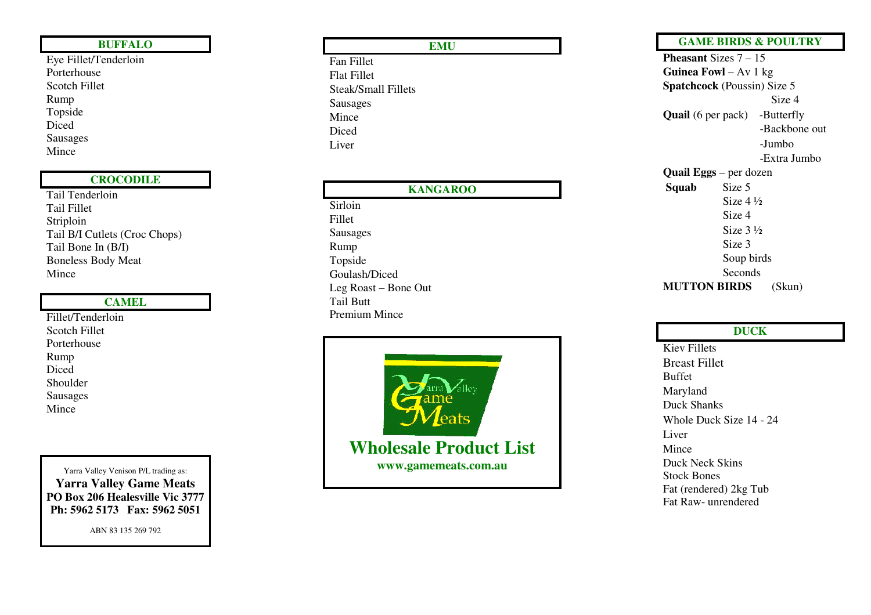#### **BUFFALO**

Eye Fillet/Tenderloin Porterhouse Scotch Fillet Rump Topside Diced Sausages Mince

## **CROCODILE**

Tail Tenderloin Tail Fillet Striploin Tail B/I Cutlets (Croc Chops) Tail Bone In (B/I) Boneless Body Meat Mince

## **CAMEL**

Fillet/Tenderloin Scotch Fillet Porterhouse Rump Diced Shoulder Sausages Mince

Yarra Valley Venison P/L trading as: **Yarra Valley Game Meats PO Box 206 Healesville Vic 3777Ph: 5962 5173 Fax: 5962 5051** 

ABN 83 135 269 792

#### **EMU**

Fan Fillet Flat Fillet Steak/Small Fillets Sausages Mince Diced Liver

| <b>KANGAROO</b>      |
|----------------------|
| Sirloin              |
| Fillet               |
| <b>Sausages</b>      |
| Rump                 |
| Topside              |
| Goulash/Diced        |
| Leg Roast – Bone Out |
| <b>Tail Butt</b>     |
| <b>Premium Mince</b> |



## **GAME BIRDS & POULTRY**

**Pheasant Sizes 7 – 15 Guinea Fowl** – Av 1 kg **Spatchcock** (Poussin) Size 5 Size 4 **Quail** (6 per pack) -Butterfly -Backbone out -Jumbo -Extra Jumbo **Quail Eggs** – per dozen **Squab** Size 5 $Size\ 4\ \frac{1}{2}$  Size 4 Size 3 ½ Size 3 Soup birds Seconds **MUTTON BIRDS** (Skun)

## **DUCK**

Kiev Fillets Breast Fillet Buffet Maryland Duck Shanks Whole Duck Size 14 - 24 Liver Mince Duck Neck Skins Stock Bones Fat (rendered) 2kg Tub Fat Raw- unrendered